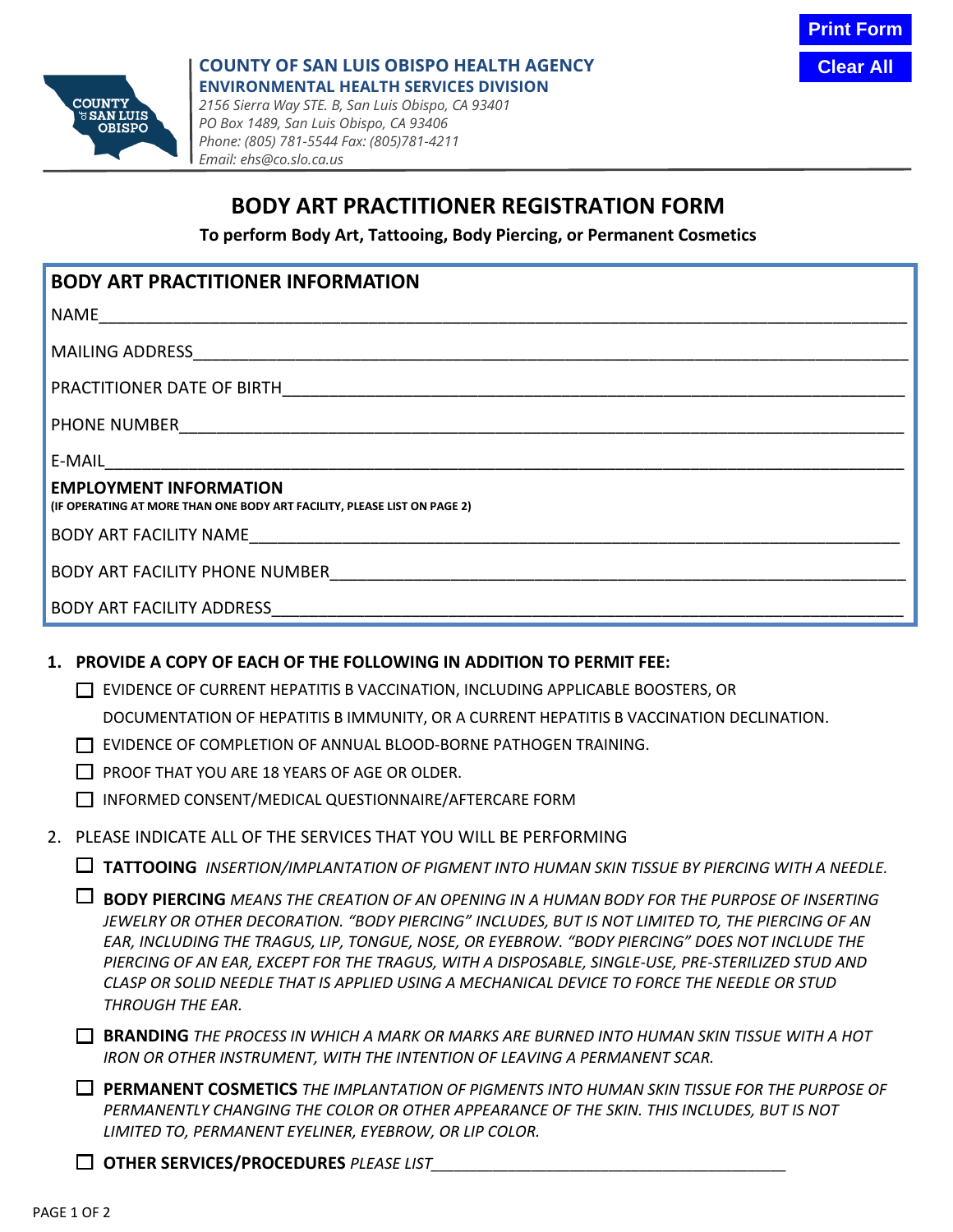**Clear All**



## **COUNTY OF SAN LUIS OBISPO HEALTH AGENCY ENVIRONMENTAL HEALTH SERVICES DIVISION**

*2156 Sierra Way STE. B, San Luis Obispo, CA 93401 PO Box 1489, San Luis Obispo, CA 93406 Phone: (805) 781-5544 Fax: (805)781-4211 Email: ehs@co.slo.ca.us*

# **BODY ART PRACTITIONER REGISTRATION FORM**

**To perform Body Art, Tattooing, Body Piercing, or Permanent Cosmetics**

## **BODY ART PRACTITIONER INFORMATION**

NAME\_\_\_\_\_\_\_\_\_\_\_\_\_\_\_\_\_\_\_\_\_\_\_\_\_\_\_\_\_\_\_\_\_\_\_\_\_\_\_\_\_\_\_\_\_\_\_\_\_\_\_\_\_\_\_\_\_\_\_\_\_\_\_\_\_\_\_\_\_\_\_\_\_\_\_\_\_\_\_\_\_\_\_\_\_\_\_

MAILING ADDRESS\_\_\_\_\_\_\_\_\_\_\_\_\_\_\_\_\_\_\_\_\_\_\_\_\_\_\_\_\_\_\_\_\_\_\_\_\_\_\_\_\_\_\_\_\_\_\_\_\_\_\_\_\_\_\_\_\_\_\_\_\_\_\_\_\_\_\_\_\_\_\_\_\_\_\_\_\_

PRACTITIONER DATE OF BIRTH

PHONE NUMBER

E-MAIL\_\_\_\_\_\_\_\_\_\_\_\_\_\_\_\_\_\_\_\_\_\_\_\_\_\_\_\_\_\_\_\_\_\_\_\_\_\_\_\_\_\_\_\_\_\_\_\_\_\_\_\_\_\_\_\_\_\_\_\_\_\_\_\_\_\_\_\_\_\_\_\_\_\_\_\_\_\_\_\_\_\_\_\_\_\_

### **EMPLOYMENT INFORMATION**

**(IF OPERATING AT MORE THAN ONE BODY ART FACILITY, PLEASE LIST ON PAGE 2)**

BODY ART FACILITY NAME

BODY ART FACILITY PHONE NUMBER

BODY ART FACILITY ADDRESS

#### **1. PROVIDE A COPY OF EACH OF THE FOLLOWING IN ADDITION TO PERMIT FEE:**

EVIDENCE OF CURRENT HEPATITIS B VACCINATION, INCLUDING APPLICABLE BOOSTERS, OR

DOCUMENTATION OF HEPATITIS B IMMUNITY, OR A CURRENT HEPATITIS B VACCINATION DECLINATION.

- EVIDENCE OF COMPLETION OF ANNUAL BLOOD-BORNE PATHOGEN TRAINING.
- $\Box$  PROOF THAT YOU ARE 18 YEARS OF AGE OR OLDER.
- INFORMED CONSENT/MEDICAL QUESTIONNAIRE/AFTERCARE FORM
- 2. PLEASE INDICATE ALL OF THE SERVICES THAT YOU WILL BE PERFORMING

**TATTOOING** *INSERTION/IMPLANTATION OF PIGMENT INTO HUMAN SKIN TISSUE BY PIERCING WITH A NEEDLE.*

| $\Box$ BODY PIERCING MEANS THE CREATION OF AN OPENING IN A HUMAN BODY FOR THE PURPOSE OF INSERTING |
|----------------------------------------------------------------------------------------------------|
| JEWELRY OR OTHER DECORATION. "BODY PIERCING" INCLUDES, BUT IS NOT LIMITED TO, THE PIERCING OF AN   |
| EAR, INCLUDING THE TRAGUS, LIP, TONGUE, NOSE, OR EYEBROW. "BODY PIERCING" DOES NOT INCLUDE THE     |
| PIERCING OF AN EAR, EXCEPT FOR THE TRAGUS, WITH A DISPOSABLE, SINGLE-USE, PRE-STERILIZED STUD AND  |
| CLASP OR SOLID NEEDLE THAT IS APPLIED USING A MECHANICAL DEVICE TO FORCE THE NEEDLE OR STUD        |
| THROUGH THE EAR.                                                                                   |

**BRANDING** *THE PROCESS IN WHICH A MARK OR MARKS ARE BURNED INTO HUMAN SKIN TISSUE WITH A HOT IRON OR OTHER INSTRUMENT, WITH THE INTENTION OF LEAVING A PERMANENT SCAR.*

**PERMANENT COSMETICS** *THE IMPLANTATION OF PIGMENTS INTO HUMAN SKIN TISSUE FOR THE PURPOSE OF PERMANENTLY CHANGING THE COLOR OR OTHER APPEARANCE OF THE SKIN. THIS INCLUDES, BUT IS NOT LIMITED TO, PERMANENT EYELINER, EYEBROW, OR LIP COLOR.*

**OTHER SERVICES/PROCEDURES** *PLEASE LIST\_\_\_\_\_\_\_\_\_\_\_\_\_\_\_\_\_\_\_\_\_\_\_\_\_\_\_\_\_\_\_\_\_\_\_\_\_\_\_\_\_\_\_\_\_\_*